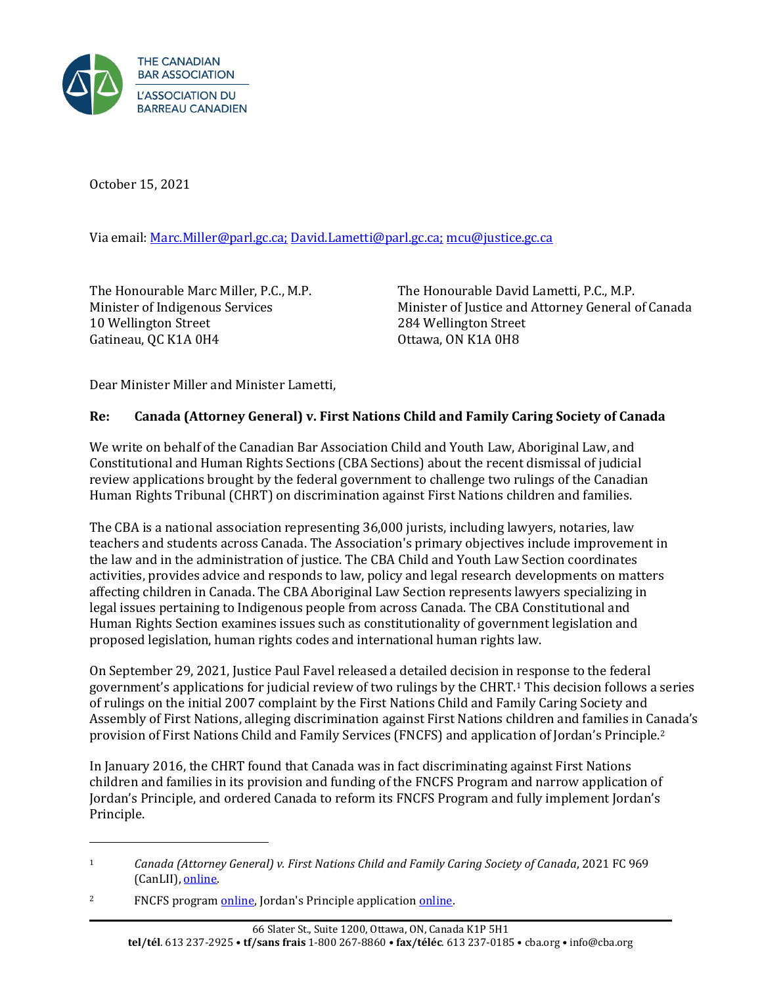

October 15, 2021

Via email: [Marc.Miller@parl.gc.ca;](mailto:Marc.Miller@parl.gc.ca) [David.Lametti@parl.gc.ca;](mailto:David.Lametti@parl.gc.ca) mcu@justice.gc.ca

The Honourable Marc Miller, P.C., M.P. Minister of Indigenous Services 10 Wellington Street Gatineau, QC K1A 0H4

The Honourable David Lametti, P.C., M.P. Minister of Justice and Attorney General of Canada 284 Wellington Street Ottawa, ON K1A 0H8

Dear Minister Miller and Minister Lametti,

## **Re: Canada (Attorney General) v. First Nations Child and Family Caring Society of Canada**

We write on behalf of the Canadian Bar Association Child and Youth Law, Aboriginal Law, and Constitutional and Human Rights Sections (CBA Sections) about the recent dismissal of judicial review applications brought by the federal government to challenge two rulings of the Canadian Human Rights Tribunal (CHRT) on discrimination against First Nations children and families.

The CBA is a national association representing 36,000 jurists, including lawyers, notaries, law teachers and students across Canada. The Association's primary objectives include improvement in the law and in the administration of justice. The CBA Child and Youth Law Section coordinates activities, provides advice and responds to law, policy and legal research developments on matters affecting children in Canada. The CBA Aboriginal Law Section represents lawyers specializing in legal issues pertaining to Indigenous people from across Canada. The CBA Constitutional and Human Rights Section examines issues such as constitutionality of government legislation and proposed legislation, human rights codes and international human rights law.

On September 29, 2021, Justice Paul Favel released a detailed decision in response to the federal government's applications for judicial review of two rulings by the CHRT.[1](#page-0-0) This decision follows a series of rulings on the initial 2007 complaint by the First Nations Child and Family Caring Society and Assembly of First Nations, alleging discrimination against First Nations children and families in Canada's provision of First Nations Child and Family Services (FNCFS) and application of Jordan's Principle.[2](#page-0-1)

In January 2016, the CHRT found that Canada was in fact discriminating against First Nations children and families in its provision and funding of the FNCFS Program and narrow application of Jordan's Principle, and ordered Canada to reform its FNCFS Program and fully implement Jordan's Principle.

<span id="page-0-0"></span><sup>1</sup> *Canada (Attorney General) v. First Nations Child and Family Caring Society of Canada*, 2021 FC 969 (CanLII), [online.](https://www.canlii.org/en/ca/fct/doc/2021/2021fc969/2021fc969.html) 

<span id="page-0-1"></span><sup>&</sup>lt;sup>2</sup> FNCFS program [online,](https://sac-isc.gc.ca/eng/1100100035204/1533307858805) Jordan's Principle application online.